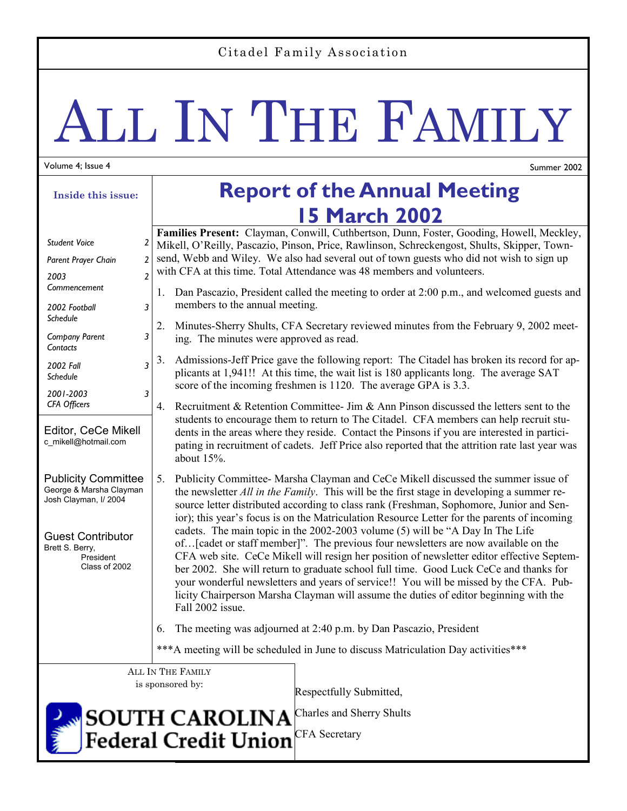### Citadel Family Association

# ALL IN THE FAMILY

#### Volume 4; Issue 4

â

Summer 2002

| Inside this issue:                                                                                                                                          | <b>Report of the Annual Meeting</b>                                                                                                                                                                                                                                                                                                                                                                                                                                                                                                                                                                                                                                                                                                                                                                                                                                                                                                                        |  |
|-------------------------------------------------------------------------------------------------------------------------------------------------------------|------------------------------------------------------------------------------------------------------------------------------------------------------------------------------------------------------------------------------------------------------------------------------------------------------------------------------------------------------------------------------------------------------------------------------------------------------------------------------------------------------------------------------------------------------------------------------------------------------------------------------------------------------------------------------------------------------------------------------------------------------------------------------------------------------------------------------------------------------------------------------------------------------------------------------------------------------------|--|
|                                                                                                                                                             | <b>15 March 2002</b>                                                                                                                                                                                                                                                                                                                                                                                                                                                                                                                                                                                                                                                                                                                                                                                                                                                                                                                                       |  |
| <b>Student Voice</b><br>Parent Prayer Chain<br>2003                                                                                                         | Families Present: Clayman, Conwill, Cuthbertson, Dunn, Foster, Gooding, Howell, Meckley,<br>2<br>Mikell, O'Reilly, Pascazio, Pinson, Price, Rawlinson, Schreckengost, Shults, Skipper, Town-<br>send, Webb and Wiley. We also had several out of town guests who did not wish to sign up<br>2<br>with CFA at this time. Total Attendance was 48 members and volunteers.<br>$\overline{2}$                                                                                                                                                                                                                                                                                                                                                                                                                                                                                                                                                                  |  |
| Commencement<br>3<br>2002 Football<br>Schedule                                                                                                              | Dan Pascazio, President called the meeting to order at 2:00 p.m., and welcomed guests and<br>1.<br>members to the annual meeting.                                                                                                                                                                                                                                                                                                                                                                                                                                                                                                                                                                                                                                                                                                                                                                                                                          |  |
| 3<br><b>Company Parent</b><br>Contacts                                                                                                                      | 2.<br>Minutes-Sherry Shults, CFA Secretary reviewed minutes from the February 9, 2002 meet-<br>ing. The minutes were approved as read.                                                                                                                                                                                                                                                                                                                                                                                                                                                                                                                                                                                                                                                                                                                                                                                                                     |  |
| 3<br>2002 Fall<br>Schedule                                                                                                                                  | 3.<br>Admissions-Jeff Price gave the following report: The Citadel has broken its record for ap-<br>plicants at 1,941!! At this time, the wait list is 180 applicants long. The average SAT<br>score of the incoming freshmen is 1120. The average GPA is 3.3.                                                                                                                                                                                                                                                                                                                                                                                                                                                                                                                                                                                                                                                                                             |  |
| 2001-2003<br>3<br><b>CFA Officers</b>                                                                                                                       | Recruitment & Retention Committee- Jim & Ann Pinson discussed the letters sent to the<br>4.                                                                                                                                                                                                                                                                                                                                                                                                                                                                                                                                                                                                                                                                                                                                                                                                                                                                |  |
| Editor, CeCe Mikell<br>c_mikell@hotmail.com                                                                                                                 | students to encourage them to return to The Citadel. CFA members can help recruit stu-<br>dents in the areas where they reside. Contact the Pinsons if you are interested in partici-<br>pating in recruitment of cadets. Jeff Price also reported that the attrition rate last year was<br>about $15%$ .                                                                                                                                                                                                                                                                                                                                                                                                                                                                                                                                                                                                                                                  |  |
| <b>Publicity Committee</b><br>George & Marsha Clayman<br>Josh Clayman, I/ 2004<br><b>Guest Contributor</b><br>Brett S. Berry,<br>President<br>Class of 2002 | Publicity Committee- Marsha Clayman and CeCe Mikell discussed the summer issue of<br>5.<br>the newsletter <i>All in the Family</i> . This will be the first stage in developing a summer re-<br>source letter distributed according to class rank (Freshman, Sophomore, Junior and Sen-<br>ior); this year's focus is on the Matriculation Resource Letter for the parents of incoming<br>cadets. The main topic in the 2002-2003 volume (5) will be "A Day In The Life<br>of [cadet or staff member]". The previous four newsletters are now available on the<br>CFA web site. CeCe Mikell will resign her position of newsletter editor effective Septem-<br>ber 2002. She will return to graduate school full time. Good Luck CeCe and thanks for<br>your wonderful newsletters and years of service!! You will be missed by the CFA. Pub-<br>licity Chairperson Marsha Clayman will assume the duties of editor beginning with the<br>Fall 2002 issue. |  |
|                                                                                                                                                             | The meeting was adjourned at 2:40 p.m. by Dan Pascazio, President<br>6.                                                                                                                                                                                                                                                                                                                                                                                                                                                                                                                                                                                                                                                                                                                                                                                                                                                                                    |  |
|                                                                                                                                                             | *** A meeting will be scheduled in June to discuss Matriculation Day activities***                                                                                                                                                                                                                                                                                                                                                                                                                                                                                                                                                                                                                                                                                                                                                                                                                                                                         |  |
|                                                                                                                                                             | ALL IN THE FAMILY<br>is sponsored by:<br>Respectfully Submitted,                                                                                                                                                                                                                                                                                                                                                                                                                                                                                                                                                                                                                                                                                                                                                                                                                                                                                           |  |
|                                                                                                                                                             | Charles and Sherry Shults<br><b>SOUTH CAROLINA</b><br>$1$ anal Cuadit Lluian CFA Secretary                                                                                                                                                                                                                                                                                                                                                                                                                                                                                                                                                                                                                                                                                                                                                                                                                                                                 |  |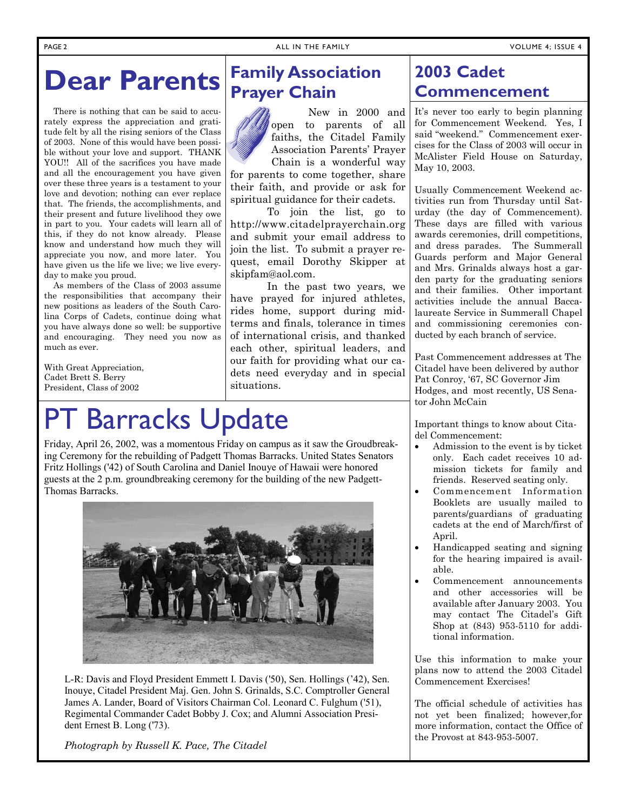### **Dear Parents**

 There is nothing that can be said to accurately express the appreciation and gratitude felt by all the rising seniors of the Class of 2003. None of this would have been possible without your love and support. THANK YOU!! All of the sacrifices you have made and all the encouragement you have given over these three years is a testament to your love and devotion; nothing can ever replace that. The friends, the accomplishments, and their present and future livelihood they owe in part to you. Your cadets will learn all of this, if they do not know already. Please know and understand how much they will appreciate you now, and more later. You have given us the life we live; we live everyday to make you proud.

 As members of the Class of 2003 assume the responsibilities that accompany their new positions as leaders of the South Carolina Corps of Cadets, continue doing what you have always done so well: be supportive and encouraging. They need you now as much as ever.

With Great Appreciation, Cadet Brett S. Berry President, Class of 2002

## **Barracks Update**

Friday, April 26, 2002, was a momentous Friday on campus as it saw the Groudbreaking Ceremony for the rebuilding of Padgett Thomas Barracks. United States Senators Fritz Hollings ('42) of South Carolina and Daniel Inouye of Hawaii were honored guests at the 2 p.m. groundbreaking ceremony for the building of the new Padgett-Thomas Barracks.



L-R: Davis and Floyd President Emmett I. Davis ('50), Sen. Hollings ('42), Sen. Inouye, Citadel President Maj. Gen. John S. Grinalds, S.C. Comptroller General James A. Lander, Board of Visitors Chairman Col. Leonard C. Fulghum ('51), Regimental Commander Cadet Bobby J. Cox; and Alumni Association President Ernest B. Long ('73).

*Photograph by Russell K. Pace, The Citadel* 

### **Family Association Prayer Chain**

 New in 2000 and open to parents of all faiths, the Citadel Family Association Parents' Prayer Chain is a wonderful way

for parents to come together, share their faith, and provide or ask for spiritual guidance for their cadets.

 To join the list, go to http://www.citadelprayerchain.org and submit your email address to join the list. To submit a prayer request, email Dorothy Skipper at skipfam@aol.com.

 In the past two years, we have prayed for injured athletes, rides home, support during midterms and finals, tolerance in times of international crisis, and thanked each other, spiritual leaders, and our faith for providing what our cadets need everyday and in special situations.

### **2003 Cadet Commencement**

It's never too early to begin planning for Commencement Weekend. Yes, I said "weekend." Commencement exercises for the Class of 2003 will occur in McAlister Field House on Saturday, May 10, 2003.

Usually Commencement Weekend activities run from Thursday until Saturday (the day of Commencement). These days are filled with various awards ceremonies, drill competitions, and dress parades. The Summerall Guards perform and Major General and Mrs. Grinalds always host a garden party for the graduating seniors and their families. Other important activities include the annual Baccalaureate Service in Summerall Chapel and commissioning ceremonies conducted by each branch of service.

Past Commencement addresses at The Citadel have been delivered by author Pat Conroy, '67, SC Governor Jim Hodges, and most recently, US Senator John McCain

Important things to know about Citadel Commencement:

- Admission to the event is by ticket only. Each cadet receives 10 admission tickets for family and friends. Reserved seating only.
- Commencement Information Booklets are usually mailed to parents/guardians of graduating cadets at the end of March/first of April.
- Handicapped seating and signing for the hearing impaired is available.
- Commencement announcements and other accessories will be available after January 2003. You may contact The Citadel's Gift Shop at (843) 953-5110 for additional information.

Use this information to make your plans now to attend the 2003 Citadel Commencement Exercises!

The official schedule of activities has not yet been finalized; however,for more information, contact the Office of the Provost at 843-953-5007.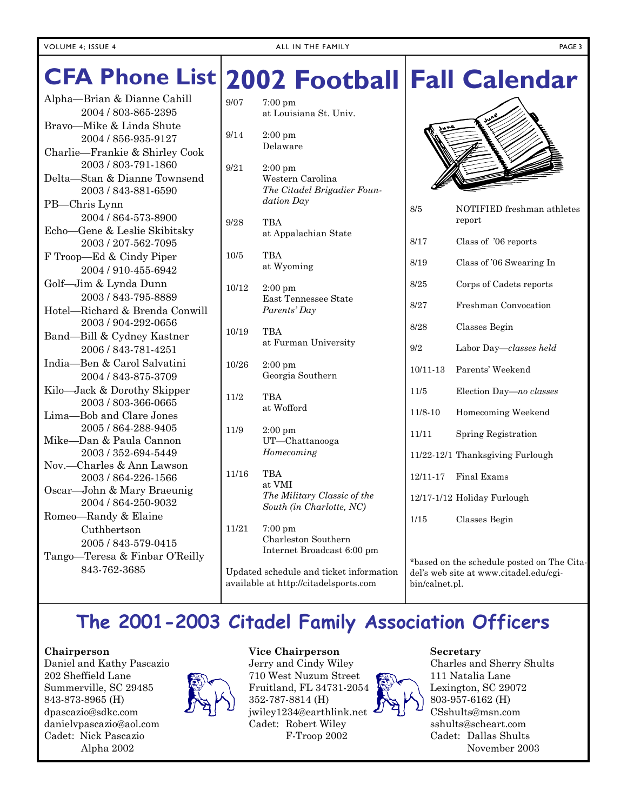# **Fall Calendar CFA Phone List 2002 Football**

Alpha—Brian & Dianne Cahill 2004 / 803-865-2395 Bravo—Mike & Linda Shute 2004 / 856-935-9127 Charlie—Frankie & Shirley Cook 2003 / 803-791-1860 Delta—Stan & Dianne Townsend 2003 / 843-881-6590 PB—Chris Lynn 2004 / 864-573-8900 Echo—Gene & Leslie Skibitsky 2003 / 207-562-7095 F Troop—Ed & Cindy Piper 2004 / 910-455-6942 Golf—Jim & Lynda Dunn 2003 / 843-795-8889 Hotel—Richard & Brenda Conwill 2003 / 904-292-0656 Band—Bill & Cydney Kastner 2006 / 843-781-4251 India—Ben & Carol Salvatini 2004 / 843-875-3709 Kilo—Jack & Dorothy Skipper 2003 / 803-366-0665 Lima—Bob and Clare Jones 2005 / 864-288-9405 Mike—Dan & Paula Cannon 2003 / 352-694-5449 Nov.—Charles & Ann Lawson 2003 / 864-226-1566 Oscar—John & Mary Braeunig 2004 / 864-250-9032 Romeo—Randy & Elaine Cuthbertson 2005 / 843-579-0415 Tango—Teresa & Finbar O'Reilly

| 9/07                                    | $7:00~\text{pm}$<br>at Louisiana St. Univ.                                          |
|-----------------------------------------|-------------------------------------------------------------------------------------|
| 9/14                                    | $2:00$ pm<br>Delaware                                                               |
| 9/21                                    | $2:00~\mathrm{pm}$<br>Western Carolina<br>The Citadel Brigadier Foun-<br>dation Day |
| 9/28                                    | TBA<br>at Appalachian State                                                         |
| 10/5                                    | TBA<br>at Wyoming                                                                   |
| 10/12                                   | $2:00$ pm<br>East Tennessee State<br>Parents' Day                                   |
| 10/19                                   | <b>TBA</b><br>at Furman University                                                  |
| 10/26                                   | 2:00 pm<br>Georgia Southern                                                         |
| 11/2                                    | <b>TBA</b><br>at Wofford                                                            |
| 11/9                                    | $2:00~\rm{pm}$<br>UT-Chattanooga<br>Homecoming                                      |
| 11/16                                   | TBA<br>at VMI<br>The Military Classic of the<br>South (in Charlotte, NC)            |
| 11/21                                   | $7:00 \text{ pm}$<br>Charleston Southern<br>Internet Broadcast 6:00 pm              |
| Updated schedule and ticket information |                                                                                     |



| 8/5         | NOTIFIED freshman athletes<br>report |
|-------------|--------------------------------------|
| 8/17        | Class of '06 reports                 |
| 8/19        | Class of '06 Swearing In             |
| 8/25        | Corps of Cadets reports              |
| 8/27        | Freshman Convocation                 |
| 8/28        | Classes Begin                        |
| 9/2         | Labor Day—classes held               |
| 10/11-13    | Parents' Weekend                     |
| 11/5        | Election Day-no classes              |
| $11/8 - 10$ | Homecoming Weekend                   |
| 11/11       | Spring Registration                  |
|             | 11/22-12/1 Thanksgiving Furlough     |
| 12/11-17    | Final Exams                          |
|             | 12/17-1/12 Holiday Furlough          |
| 1/15        | Classes Begin                        |
|             |                                      |

\*based on the schedule posted on The Citadel's web site at www.citadel.edu/cgibin/calnet.pl.

### **The 2001-2003 Citadel Family Association Officers**

available at http://citadelsports.com

#### **Chairperson**

Daniel and Kathy Pascazio 202 Sheffield Lane Summerville, SC 29485 843-873-8965 (H) dpascazio@sdkc.com danielvpascazio@aol.com Cadet: Nick Pascazio Alpha 2002

843-762-3685



#### **Vice Chairperson**  Jerry and Cindy Wiley

710 West Nuzum Street Fruitland, FL 34731-2054 352-787-8814 (H) jwiley1234@earthlink.net Cadet: Robert Wiley F-Troop 2002



#### **Secretary**

Charles and Sherry Shults 111 Natalia Lane Lexington, SC 29072 803-957-6162 (H) CSshults@msn.com sshults@scheart.com Cadet: Dallas Shults November 2003